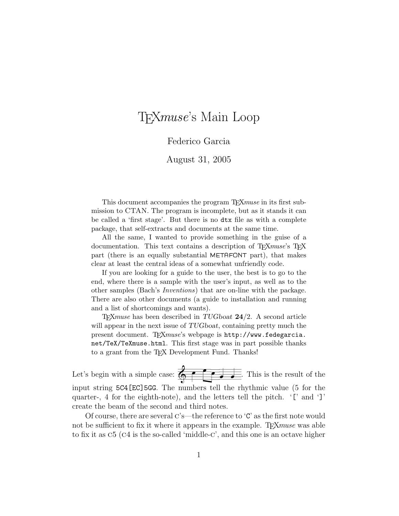# T<sub>F</sub>Xmuse's Main Loop

### Federico Garcia

August 31, 2005

This document accompanies the program T<sub>E</sub>X*muse* in its first submission to CTAN. The program is incomplete, but as it stands it can be called a 'first stage'. But there is no dtx file as with a complete package, that self-extracts and documents at the same time.

All the same, I wanted to provide something in the guise of a documentation. This text contains a description of TEXmuse's TEX part (there is an equally substantial METAFONT part), that makes clear at least the central ideas of a somewhat unfriendly code.

If you are looking for a guide to the user, the best is to go to the end, where there is a sample with the user's input, as well as to the other samples (Bach's Inventions) that are on-line with the package. There are also other documents (a guide to installation and running and a list of shortcomings and wants).

 $T_FXmuse$  has been described in TUGboat  $24/2$ . A second article will appear in the next issue of TUGboat, containing pretty much the present document. TFXmuse's webpage is http://www.fedegarcia. net/TeX/TeXmuse.html. This first stage was in part possible thanks to a grant from the TEX Development Fund. Thanks!

Let's begin with a simple case:  $\overline{\bigoplus_{i=1}^{n} \bullet_{i}}$   $\overline{\bigoplus_{i=1}^{n} \bullet_{i}}$ . This is the result of the input string 5C4[EC]5GG. The numbers tell the rhythmic value (5 for the quarter-, 4 for the eighth-note), and the letters tell the pitch. '[' and ']' create the beam of the second and third notes.

Of course, there are several  $C$ 's—the reference to ' $C$ ' as the first note would not be sufficient to fix it where it appears in the example. T<sub>E</sub>X $muse$  was able to fix it as c5 (c4 is the so-called 'middle-c', and this one is an octave higher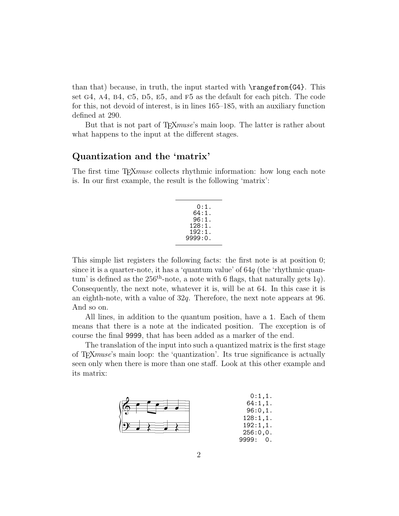than that) because, in truth, the input started with  $\range$ from $\{G4\}$ . This set  $G4$ ,  $A4$ ,  $B4$ ,  $C5$ ,  $D5$ ,  $E5$ , and  $F5$  as the default for each pitch. The code for this, not devoid of interest, is in lines 165–185, with an auxiliary function defined at 290.

But that is not part of T<sub>E</sub>X*muse*'s main loop. The latter is rather about what happens to the input at the different stages.

### Quantization and the 'matrix'

The first time T<sub>E</sub>X*muse* collects rhythmic information: how long each note is. In our first example, the result is the following 'matrix':

This simple list registers the following facts: the first note is at position 0; since it is a quarter-note, it has a 'quantum value' of  $64q$  (the 'rhythmic quantum' is defined as the  $256<sup>th</sup>$ -note, a note with 6 flags, that naturally gets 1q). Consequently, the next note, whatever it is, will be at 64. In this case it is an eighth-note, with a value of 32q. Therefore, the next note appears at 96. And so on.

All lines, in addition to the quantum position, have a 1. Each of them means that there is a note at the indicated position. The exception is of course the final 9999, that has been added as a marker of the end.

The translation of the input into such a quantized matrix is the first stage of T<sub>E</sub>Xmuse's main loop: the 'quantization'. Its true significance is actually seen only when there is more than one staff. Look at this other example and its matrix:

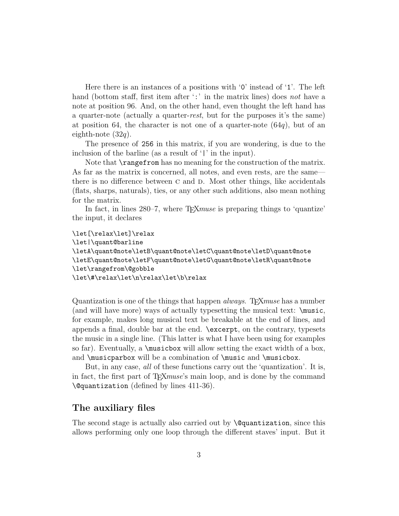Here there is an instances of a positions with '0' instead of '1'. The left hand (bottom staff, first item after  $\cdot$ : in the matrix lines) does not have a note at position 96. And, on the other hand, even thought the left hand has a quarter-note (actually a quarter-rest, but for the purposes it's the same) at position 64, the character is not one of a quarter-note  $(64q)$ , but of an eighth-note  $(32q)$ .

The presence of 256 in this matrix, if you are wondering, is due to the inclusion of the barline (as a result of '|' in the input).

Note that  $\text{rangefrom has no meaning for the construction of the matrix.}$ As far as the matrix is concerned, all notes, and even rests, are the same there is no difference between  $C$  and  $D$ . Most other things, like accidentals (flats, sharps, naturals), ties, or any other such additions, also mean nothing for the matrix.

In fact, in lines 280–7, where T<sub>E</sub>X*muse* is preparing things to 'quantize' the input, it declares

```
\let[\relax\let]\relax
\let|\quant@barline
\letA\quant@note\letB\quant@note\letC\quant@note\letD\quant@note
\letE\quant@note\letF\quant@note\letG\quant@note\letR\quant@note
\let\rangefrom\@gobble
\let\#\relax\let\n\relax\let\b\relax
```
Quantization is one of the things that happen *always*. T<sub>E</sub>X*muse* has a number (and will have more) ways of actually typesetting the musical text: \music, for example, makes long musical text be breakable at the end of lines, and appends a final, double bar at the end. \excerpt, on the contrary, typesets the music in a single line. (This latter is what I have been using for examples so far). Eventually, a  $\text{plus}$  is considered allow setting the exact width of a box, and \musicparbox will be a combination of \music and \musicbox.

But, in any case, all of these functions carry out the 'quantization'. It is, in fact, the first part of T<sub>E</sub>Xmuse's main loop, and is done by the command \@quantization (defined by lines 411-36).

### The auxiliary files

The second stage is actually also carried out by **\@quantization**, since this allows performing only one loop through the different staves' input. But it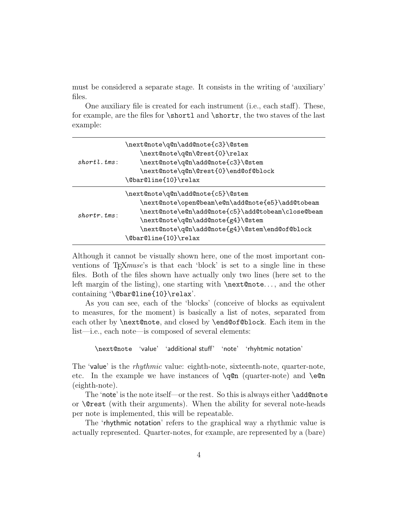must be considered a separate stage. It consists in the writing of 'auxiliary' files.

One auxiliary file is created for each instrument (i.e., each staff). These, for example, are the files for  $\shortparallel$  and  $\shortparallel$  and  $\shortparallel$  about the two staves of the last example:

| $short.l.$ $tms$ : | \next@note\q@n\add@note{c3}\@stem<br>\next@note\q@n\@rest{0}\relax<br>\next@note\q@n\add@note{c3}\@stem<br>\next@note\q@n\@rest{0}\end@of@block<br>\@bar@line{10}\relax                                                                                   |
|--------------------|-----------------------------------------------------------------------------------------------------------------------------------------------------------------------------------------------------------------------------------------------------------|
| $shortr, tms$ :    | \next@note\q@n\add@note{c5}\@stem<br>\next@note\open@beam\e@n\add@note{e5}\add@tobeam<br>\next@note\e@n\add@note{c5}\add@tobeam\close@beam<br>\next@note\q@n\add@note{g4}\@stem<br>\next@note\q@n\add@note{g4}\@stem\end@of@block<br>\@bar@line{10}\relax |

Although it cannot be visually shown here, one of the most important conventions of T<sub>E</sub>X<sub>muse</sub>'s is that each 'block' is set to a single line in these files. Both of the files shown have actually only two lines (here set to the left margin of the listing), one starting with \next@note. . . , and the other containing '\@bar@line{10}\relax'.

As you can see, each of the 'blocks' (conceive of blocks as equivalent to measures, for the moment) is basically a list of notes, separated from each other by **\next@note**, and closed by **\end@of@block**. Each item in the list—i.e., each note—is composed of several elements:

\next@note 'value' 'additional stuff' 'note' 'rhyhtmic notation'

The 'value' is the *rhythmic* value: eighth-note, sixteenth-note, quarter-note, etc. In the example we have instances of  $\qquad$  (quarter-note) and  $\text{e@n}$ (eighth-note).

The 'note' is the note itself—or the rest. So this is always either \add@note or \@rest (with their arguments). When the ability for several note-heads per note is implemented, this will be repeatable.

The 'rhythmic notation' refers to the graphical way a rhythmic value is actually represented. Quarter-notes, for example, are represented by a (bare)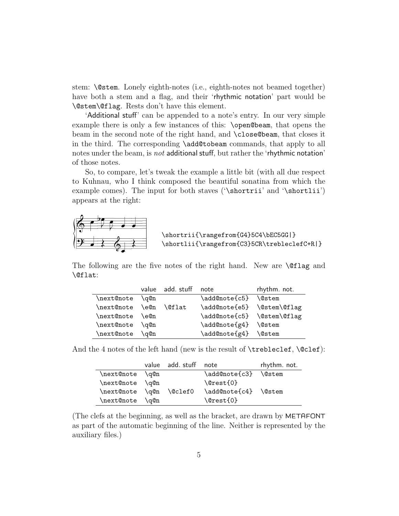stem: \@stem. Lonely eighth-notes (i.e., eighth-notes not beamed together) have both a stem and a flag, and their 'rhythmic notation' part would be \@stem\@flag. Rests don't have this element.

'Additional stuff' can be appended to a note's entry. In our very simple example there is only a few instances of this: \open@beam, that opens the beam in the second note of the right hand, and \close@beam, that closes it in the third. The corresponding \add@tobeam commands, that apply to all notes under the beam, is not additional stuff, but rather the 'rhythmic notation' of those notes.

So, to compare, let's tweak the example a little bit (with all due respect to Kuhnau, who I think composed the beautiful sonatina from which the example comes). The input for both staves ('\shortrii' and '\shortlii') appears at the right:



 \shortrii{\rangefrom{G4}5C4\bEC5GG|} \shortlii{\rangefrom{C3}5CR\trebleclefC+R|}

The following are the five notes of the right hand. New are \@flag and \@flat:

|            | value | add. stuff    | note          | rhythm. not.  |
|------------|-------|---------------|---------------|---------------|
| \next@note | \q@n  |               | \add@note{c5} | <b>\@stem</b> |
| \next@note | \e@n  | <b>\@flat</b> | \add@note{e5} | \@stem\@flag  |
| \next@note | \e@n  |               | \add@note{c5} | \@stem\@flag  |
| \next@note | \q@n  |               | \add@note{g4} | <b>\@stem</b> |
| \next@note | \q@n  |               | \add@note{g4} | <b>\@stem</b> |

And the 4 notes of the left hand (new is the result of  $\t{trebleclef, \@clef$ ):

|                 |      | value add. stuff | note                            | rhythm. not.  |
|-----------------|------|------------------|---------------------------------|---------------|
| \next@note \q@n |      |                  | \add@note{c3}                   | <b>\@stem</b> |
| \next@note \q@n |      |                  | $\text{Qrest}\lbrace 0 \rbrace$ |               |
| \next@note \q@n |      | \@clef0          | \add@note{c4} \@stem            |               |
| \next@note      | \q@n |                  | $\text{Qrest}\lbrace 0 \rbrace$ |               |

(The clefs at the beginning, as well as the bracket, are drawn by METAFONT as part of the automatic beginning of the line. Neither is represented by the auxiliary files.)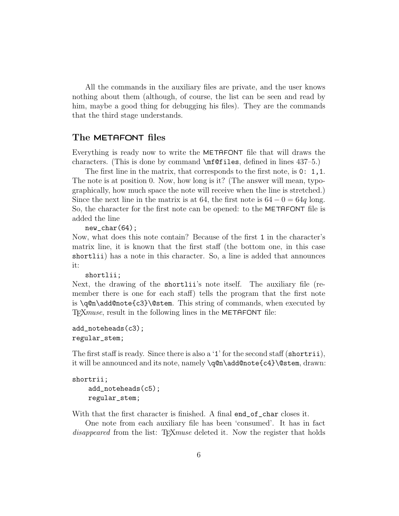All the commands in the auxiliary files are private, and the user knows nothing about them (although, of course, the list can be seen and read by him, maybe a good thing for debugging his files). They are the commands that the third stage understands.

#### The METAFONT files

Everything is ready now to write the METAFONT file that will draws the characters. (This is done by command \mf@files, defined in lines 437–5.)

The first line in the matrix, that corresponds to the first note, is 0: 1, 1. The note is at position 0. Now, how long is it? (The answer will mean, typographically, how much space the note will receive when the line is stretched.) Since the next line in the matrix is at 64, the first note is  $64 - 0 = 64q$  long. So, the character for the first note can be opened: to the METAFONT file is added the line

new\_char(64);

Now, what does this note contain? Because of the first 1 in the character's matrix line, it is known that the first staff (the bottom one, in this case shortlii) has a note in this character. So, a line is added that announces it:

```
shortlii;
```
Next, the drawing of the shortlii's note itself. The auxiliary file (remember there is one for each staff) tells the program that the first note is \q@n\add@note{c3}\@stem. This string of commands, when executed by T<sub>E</sub>X*muse*, result in the following lines in the METAFONT file:

```
add_noteheads(c3);
regular_stem;
```
The first staff is ready. Since there is also a '1' for the second staff (shortrii), it will be announced and its note, namely \q@n\add@note{c4}\@stem, drawn:

```
shortrii;
    add_noteheads(c5);
    regular_stem;
```
With that the first character is finished. A final end\_of\_char closes it.

One note from each auxiliary file has been 'consumed'. It has in fact disappeared from the list: T<sub>E</sub>Xmuse deleted it. Now the register that holds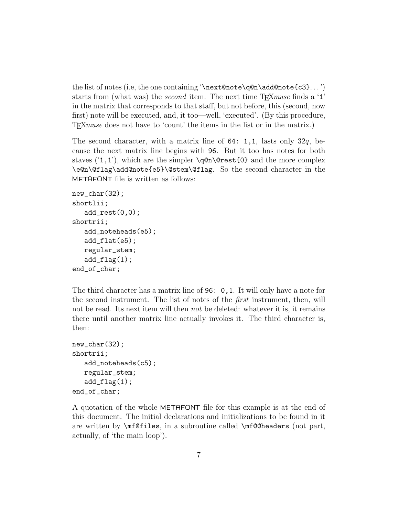the list of notes (i.e, the one containing '\next@note\q@n\add@note{c3}. . . ') starts from (what was) the *second* item. The next time  $TFXmuse$  finds a '1' in the matrix that corresponds to that staff, but not before, this (second, now first) note will be executed, and, it too—well, 'executed'. (By this procedure, TEXmuse does not have to 'count' the items in the list or in the matrix.)

The second character, with a matrix line of  $64: 1,1$ , lasts only  $32q$ , because the next matrix line begins with 96. But it too has notes for both staves  $(1,1)$ , which are the simpler  $\qquad$   $\qquad$   $\qquad$   $\qquad$   $\qquad$  and the more complex \e@n\@flag\add@note{e5}\@stem\@flag. So the second character in the METAFONT file is written as follows:

```
new_char(32);
shortlii;
   add\_rest(0,0);shortrii;
   add_noteheads(e5);
   add_flat(e5);
   regular_stem;
   add_flag(1);
end_of_char;
```
The third character has a matrix line of 96: 0,1. It will only have a note for the second instrument. The list of notes of the first instrument, then, will not be read. Its next item will then *not* be deleted: whatever it is, it remains there until another matrix line actually invokes it. The third character is, then:

```
new_char(32);
shortrii;
   add_noteheads(c5);
   regular_stem;
   add_flag(1);end_of_char;
```
A quotation of the whole METAFONT file for this example is at the end of this document. The initial declarations and initializations to be found in it are written by \mf@files, in a subroutine called \mf@@headers (not part, actually, of 'the main loop').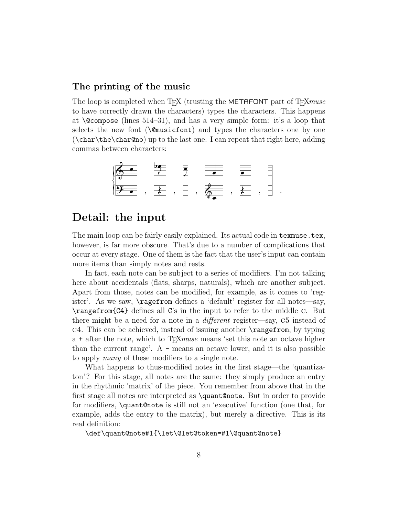### The printing of the music

The loop is completed when TFX (trusting the METAFONT part of TFX muse to have correctly drawn the characters) types the characters. This happens at  $\degree$  (lines 514–31), and has a very simple form: it's a loop that selects the new font ( $\Omega$ musicfont) and types the characters one by one (\char\the\char@no) up to the last one. I can repeat that right here, adding commas between characters:

$$
\begin{array}{|c|c|c|c|c|}\n\hline\n\text{S} & \text{E} & \text{E} & \text{E} & \text{E} & \text{E} \\
\hline\n\text{S} & \text{E} & \text{E} & \text{E} & \text{E} & \text{E} & \text{E} \\
\hline\n\text{E} & \text{E} & \text{E} & \text{E} & \text{E} & \text{E} & \text{E} & \text{E} \\
\hline\n\end{array}
$$

### Detail: the input

The main loop can be fairly easily explained. Its actual code in texmuse.tex, however, is far more obscure. That's due to a number of complications that occur at every stage. One of them is the fact that the user's input can contain more items than simply notes and rests.

In fact, each note can be subject to a series of modifiers. I'm not talking here about accidentals (flats, sharps, naturals), which are another subject. Apart from those, notes can be modified, for example, as it comes to 'register'. As we saw, \ragefrom defines a 'default' register for all notes—say, \rangefrom{C4} defines all C's in the input to refer to the middle c. But there might be a need for a note in a *different* register—say, C5 instead of c4. This can be achieved, instead of issuing another \rangefrom, by typing a + after the note, which to  $T_{F}X$ *muse* means 'set this note an octave higher than the current range'. A - means an octave lower, and it is also possible to apply many of these modifiers to a single note.

What happens to thus-modified notes in the first stage—the 'quantizaton'? For this stage, all notes are the same: they simply produce an entry in the rhythmic 'matrix' of the piece. You remember from above that in the first stage all notes are interpreted as \quant@note. But in order to provide for modifiers, \quant@note is still not an 'executive' function (one that, for example, adds the entry to the matrix), but merely a directive. This is its real definition:

\def\quant@note#1{\let\@let@token=#1\@quant@note}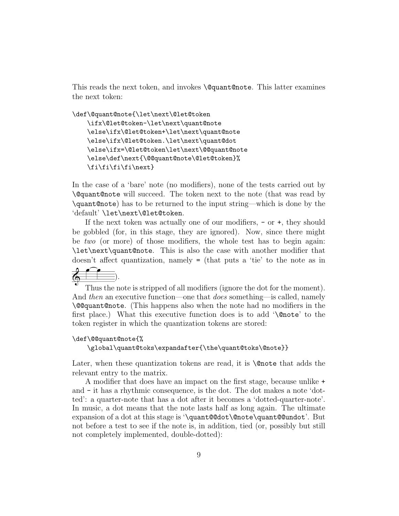This reads the next token, and invokes \@quant@note. This latter examines the next token:

```
\def\@quant@note{\let\next\@let@token
```
\ifx\@let@token-\let\next\quant@note \else\ifx\@let@token+\let\next\quant@note \else\ifx\@let@token.\let\next\quant@dot \else\ifx=\@let@token\let\next\@@quant@note \else\def\next{\@@quant@note\@let@token}% \fi\fi\fi\fi\next}

In the case of a 'bare' note (no modifiers), none of the tests carried out by \@quant@note will succeed. The token next to the note (that was read by \quant@note) has to be returned to the input string—which is done by the 'default' \let\next\@let@token.

If the next token was actually one of our modifiers,  $-$  or  $+$ , they should be gobbled (for, in this stage, they are ignored). Now, since there might be two (or more) of those modifiers, the whole test has to begin again: \let\next\quant@note. This is also the case with another modifier that doesn't affect quantization, namely = (that puts a 'tie' to the note as in

 $\frac{2}{9}$ ).

Thus the note is stripped of all modifiers (ignore the dot for the moment). And then an executive function—one that *does* something—is called, namely \@@quant@note. (This happens also when the note had no modifiers in the first place.) What this executive function does is to add '\@note' to the token register in which the quantization tokens are stored:

#### \def\@@quant@note{%

\global\quant@toks\expandafter{\the\quant@toks\@note}}

Later, when these quantization tokens are read, it is **\@note** that adds the relevant entry to the matrix.

A modifier that does have an impact on the first stage, because unlike + and - it has a rhythmic consequence, is the dot. The dot makes a note 'dotted': a quarter-note that has a dot after it becomes a 'dotted-quarter-note'. In music, a dot means that the note lasts half as long again. The ultimate expansion of a dot at this stage is '\quant@@dot\@note\quant@@undot'. But not before a test to see if the note is, in addition, tied (or, possibly but still not completely implemented, double-dotted):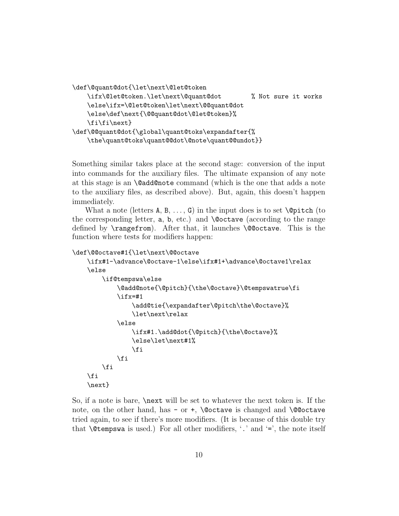```
\def\@quant@dot{\let\next\@let@token
    \ifx\@let@token.\let\next\@quant@dot % Not sure it works
    \else\ifx=\@let@token\let\next\@@quant@dot
    \else\def\next{\@@quant@dot\@let@token}%
    \fi\fi\next}
\def\@@quant@dot{\global\quant@toks\expandafter{%
    \the\quant@toks\quant@@dot\@note\quant@@undot}}
```
Something similar takes place at the second stage: conversion of the input into commands for the auxiliary files. The ultimate expansion of any note at this stage is an \@add@note command (which is the one that adds a note to the auxiliary files, as described above). But, again, this doesn't happen immediately.

What a note (letters  $A, B, \ldots, G$ ) in the input does is to set  $\operatorname{\mathcal{Q}_\text{pitch}}$  (to the corresponding letter,  $a, b, etc.$ ) and  $\Diamond$  coctave (according to the range defined by \rangefrom). After that, it launches \@@octave. This is the function where tests for modifiers happen:

```
\def\@@octave#1{\let\next\@@octave
```

```
\ifx#1-\advance\@octave-1\else\ifx#1+\advance\@octave1\relax
\else
    \if@tempswa\else
        \@add@note{\@pitch}{\the\@octave}\@tempswatrue\fi
        \ifx=#1
            \add@tie{\expandafter\@pitch\the\@octave}%
            \let\next\relax
        \else
            \ifx#1.\add@dot{\@pitch}{\the\@octave}%
            \else\let\next#1%
            \eta\fi
    \fi
\fi
\next}
```
So, if a note is bare, \next will be set to whatever the next token is. If the note, on the other hand, has - or +,  $\Q$ octave is changed and  $\Q$ octave tried again, to see if there's more modifiers. (It is because of this double try that **\@tempswa** is used.) For all other modifiers,  $\cdot$ ,  $\cdot$  and  $\cdot = \cdot$ , the note itself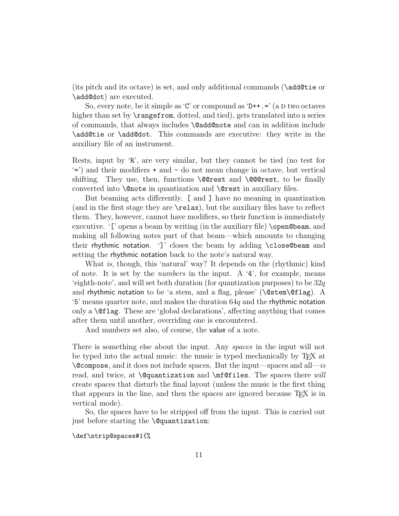(its pitch and its octave) is set, and only additional commands (\add@tie or \add@dot) are executed.

So, every note, be it simple as 'C' or compound as 'D++. $=$ ' (a D two octaves higher than set by **\rangefrom**, dotted, and tied), gets translated into a series of commands, that always includes \@add@note and can in addition include \add@tie or \add@dot. This commands are executive: they write in the auxiliary file of an instrument.

Rests, input by 'R', are very similar, but they cannot be tied (no test for '=') and their modifiers + and - do not mean change in octave, but vertical shifting. They use, then, functions **\@@rest** and **\@@erest**, to be finally converted into \@note in quantization and \@rest in auxiliary files.

But beaming acts differently. [ and ] have no meaning in quantization (and in the first stage they are \relax), but the auxiliary files have to reflect them. They, however, cannot have modifiers, so their function is immediately executive. '[' opens a beam by writing (in the auxiliary file) **\open@beam**, and making all following notes part of that beam—which amounts to changing their rhythmic notation. ']' closes the beam by adding \close@beam and setting the rhythmic notation back to the note's natural way.

What is, though, this 'natural' way? It depends on the (rhythmic) kind of note. It is set by the *numbers* in the input. A  $4$ <sup>2</sup>, for example, means 'eighth-note', and will set both duration (for quantization purposes) to be  $32q$ and rhythmic notation to be 'a stem, and a flag, please' ( $\@$ stem $\@f{lag}$ ). A  $\mathcal{L}$ . S' means quarter note, and makes the duration  $64q$  and the rhythmic notation only a  $\Diamond$ flag. These are 'global declarations', affecting anything that comes after them until another, overriding one is encountered.

And numbers set also, of course, the value of a note.

There is something else about the input. Any spaces in the input will not be typed into the actual music: the music is typed mechanically by TEX at  $\Diamond$  compose, and it does not include spaces. But the input—spaces and all—is read, and twice, at **\@quantization** and **\mf@files**. The spaces there *will* create spaces that disturb the final layout (unless the music is the first thing that appears in the line, and then the spaces are ignored because TEX is in vertical mode).

So, the spaces have to be stripped off from the input. This is carried out just before starting the \@quantization:

\def\strip@spaces#1{%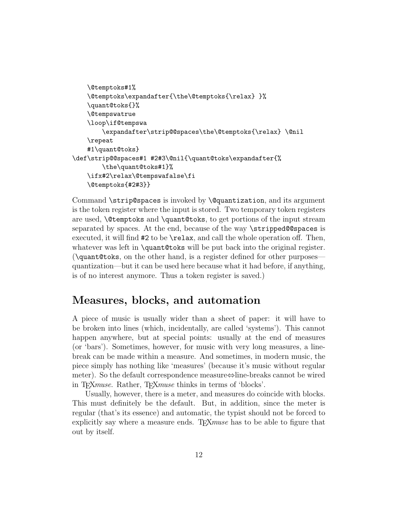```
\@temptoks#1%
    \@temptoks\expandafter{\the\@temptoks{\relax} }%
    \quant@toks{}%
    \@tempswatrue
    \loop\if@tempswa
        \expandafter\strip@@spaces\the\@temptoks{\relax}\@nil
    \repeat
    #1\quant@toks}
\def\strip@@spaces#1 #2#3\@nil{\quant@toks\expandafter{%
        \the\quant@toks#1}%
    \ifx#2\relax\@tempswafalse\fi
    \@temptoks{#2#3}}
```
Command \strip@spaces is invoked by \@quantization, and its argument is the token register where the input is stored. Two temporary token registers are used, \@temptoks and \quant@toks, to get portions of the input stream separated by spaces. At the end, because of the way \stripped@@spaces is executed, it will find #2 to be \relax, and call the whole operation off. Then, whatever was left in **\quant@toks** will be put back into the original register. (\quant@toks, on the other hand, is a register defined for other purposes quantization—but it can be used here because what it had before, if anything, is of no interest anymore. Thus a token register is saved.)

### Measures, blocks, and automation

A piece of music is usually wider than a sheet of paper: it will have to be broken into lines (which, incidentally, are called 'systems'). This cannot happen anywhere, but at special points: usually at the end of measures (or 'bars'). Sometimes, however, for music with very long measures, a linebreak can be made within a measure. And sometimes, in modern music, the piece simply has nothing like 'measures' (because it's music without regular meter). So the default correspondence measure⇔line-breaks cannot be wired in T<sub>E</sub>Xmuse. Rather, T<sub>E</sub>Xmuse thinks in terms of 'blocks'.

Usually, however, there is a meter, and measures do coincide with blocks. This must definitely be the default. But, in addition, since the meter is regular (that's its essence) and automatic, the typist should not be forced to explicitly say where a measure ends. T<sub>F</sub>X*muse* has to be able to figure that out by itself.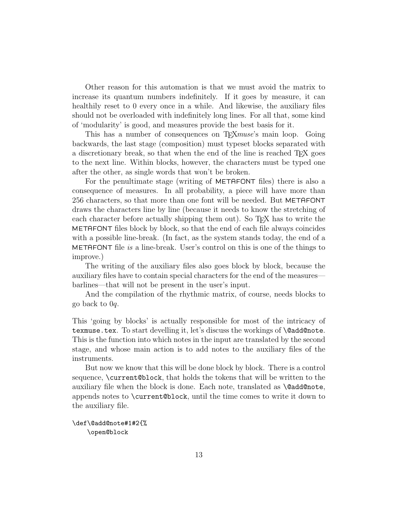Other reason for this automation is that we must avoid the matrix to increase its quantum numbers indefinitely. If it goes by measure, it can healthily reset to 0 every once in a while. And likewise, the auxiliary files should not be overloaded with indefinitely long lines. For all that, some kind of 'modularity' is good, and measures provide the best basis for it.

This has a number of consequences on T<sub>E</sub>X*muse*'s main loop. Going backwards, the last stage (composition) must typeset blocks separated with a discretionary break, so that when the end of the line is reached T<sub>E</sub>X goes to the next line. Within blocks, however, the characters must be typed one after the other, as single words that won't be broken.

For the penultimate stage (writing of METAFONT files) there is also a consequence of measures. In all probability, a piece will have more than 256 characters, so that more than one font will be needed. But METAFONT draws the characters line by line (because it needs to know the stretching of each character before actually shipping them out). So TEX has to write the METAFONT files block by block, so that the end of each file always coincides with a possible line-break. (In fact, as the system stands today, the end of a METAFONT file is a line-break. User's control on this is one of the things to improve.)

The writing of the auxiliary files also goes block by block, because the auxiliary files have to contain special characters for the end of the measures barlines—that will not be present in the user's input.

And the compilation of the rhythmic matrix, of course, needs blocks to go back to 0q.

This 'going by blocks' is actually responsible for most of the intricacy of texmuse.tex. To start develling it, let's discuss the workings of \@add@note. This is the function into which notes in the input are translated by the second stage, and whose main action is to add notes to the auxiliary files of the instruments.

But now we know that this will be done block by block. There is a control sequence, **\current@block**, that holds the tokens that will be written to the auxiliary file when the block is done. Each note, translated as \@add@note, appends notes to \current@block, until the time comes to write it down to the auxiliary file.

```
\def\@add@note#1#2{%
    \open@block
```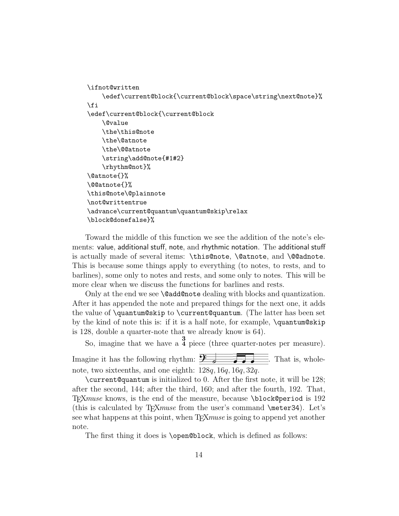```
\ifnot@written
    \edef\current@block{\current@block\space\string\next@note}%
\fi
\edef\current@block{\current@block
    \@value
    \the\this@note
    \the\@atnote
    \the\@@atnote
    \string\add@note{#1#2}
    \rhythm@not}%
\@atnote{}%
\@@atnote{}%
\this@note\@plainnote
\not@writtentrue
\advance\current@quantum\quantum@skip\relax
\block@donefalse}%
```
Toward the middle of this function we see the addition of the note's elements: value, additional stuff, note, and rhythmic notation. The additional stuff is actually made of several items: \this@note, \@atnote, and \@@adnote. This is because some things apply to everything (to notes, to rests, and to barlines), some only to notes and rests, and some only to notes. This will be more clear when we discuss the functions for barlines and rests.

Only at the end we see **\@add@note** dealing with blocks and quantization. After it has appended the note and prepared things for the next one, it adds the value of \quantum@skip to \current@quantum. (The latter has been set by the kind of note this is: if it is a half note, for example, \quantum@skip is 128, double a quarter-note that we already know is 64).

So, imagine that we have a  $\frac{3}{4}$  piece (three quarter-notes per measure).

Imagine it has the following rhythm:  $\frac{\mathbf{F}}{2}$ . That is, wholenote, two sixteenths, and one eighth: 128q, 16q, 16q, 32q.

\current@quantum is initialized to 0. After the first note, it will be 128; after the second, 144; after the third, 160; and after the fourth, 192. That, TEXmuse knows, is the end of the measure, because \block@period is 192 (this is calculated by  $T_FXmuse$  from the user's command  $\meter34$ . Let's see what happens at this point, when T<sub>E</sub>X*muse* is going to append yet another note.

The first thing it does is **\open@block**, which is defined as follows: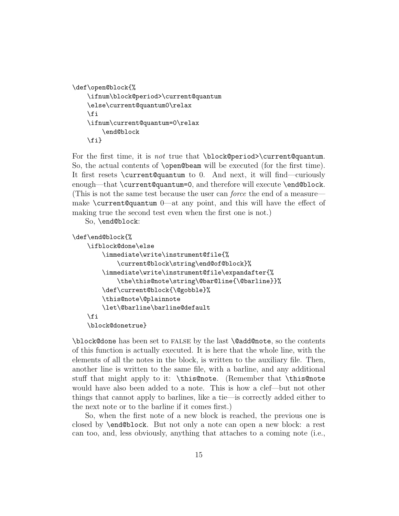```
\def\open@block{%
    \ifnum\block@period>\current@quantum
    \else\current@quantum0\relax
    \fi
    \ifnum\current@quantum=0\relax
        \end@block
    \fi}
```
For the first time, it is *not* true that \block@period>\current@quantum. So, the actual contents of \open@beam will be executed (for the first time). It first resets \current@quantum to 0. And next, it will find—curiously enough—that \current@quantum=0, and therefore will execute \end@block. (This is not the same test because the user can force the end of a measure make \current@quantum 0—at any point, and this will have the effect of making true the second test even when the first one is not.)

So, \end@block:

```
\def\end@block{%
```

```
\ifblock@done\else
    \immediate\write\instrument@file{%
        \current@block\string\end@of@block}%
    \immediate\write\instrument@file\expandafter{%
        \the\this@note\string\@bar@line{\@barline}}%
    \def\current@block{\@gobble}%
    \this@note\@plainnote
    \let\@barline\barline@default
\fi
\block@donetrue}
```
\block@done has been set to false by the last \@add@note, so the contents of this function is actually executed. It is here that the whole line, with the elements of all the notes in the block, is written to the auxiliary file. Then, another line is written to the same file, with a barline, and any additional stuff that might apply to it: \this@note. (Remember that \this@note would have also been added to a note. This is how a clef—but not other things that cannot apply to barlines, like a tie—is correctly added either to the next note or to the barline if it comes first.)

So, when the first note of a new block is reached, the previous one is closed by \end@block. But not only a note can open a new block: a rest can too, and, less obviously, anything that attaches to a coming note (i.e.,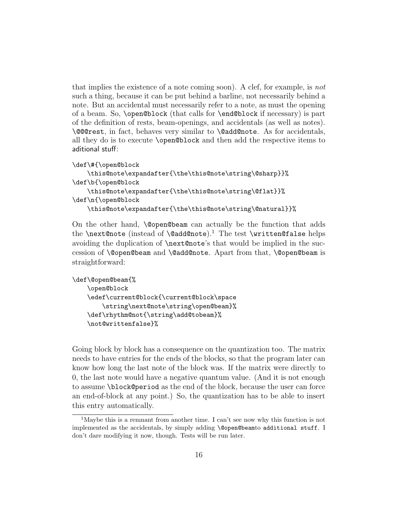that implies the existence of a note coming soon). A clef, for example, is not such a thing, because it can be put behind a barline, not necessarily behind a note. But an accidental must necessarily refer to a note, as must the opening of a beam. So, \open@block (that calls for \end@block if necessary) is part of the definition of rests, beam-openings, and accidentals (as well as notes). \@@@rest, in fact, behaves very similar to \@add@note. As for accidentals, all they do is to execute \open@block and then add the respective items to aditional stuff:

```
\def\#{\open@block
    \this@note\expandafter{\the\this@note\string\@sharp}}%
\def\b{\open@block
    \this@note\expandafter{\the\this@note\string\@flat}}%
\def\n{\open@block
    \this@note\expandafter{\the\this@note\string\@natural}}%
```
On the other hand, \@open@beam can actually be the function that adds the \next@note (instead of \@add@note).<sup>1</sup> The test \written@false helps avoiding the duplication of \next@note's that would be implied in the succession of \@open@beam and \@add@note. Apart from that, \@open@beam is straightforward:

```
\def\@open@beam{%
    \open@block
    \edef\current@block{\current@block\space
        \string\next@note\string\open@beam}%
    \def\rhythm@not{\string\add@tobeam}%
    \not@writtenfalse}%
```
Going block by block has a consequence on the quantization too. The matrix needs to have entries for the ends of the blocks, so that the program later can know how long the last note of the block was. If the matrix were directly to 0, the last note would have a negative quantum value. (And it is not enough to assume \block@period as the end of the block, because the user can force an end-of-block at any point.) So, the quantization has to be able to insert this entry automatically.

<sup>1</sup>Maybe this is a remnant from another time. I can't see now why this function is not implemented as the accidentals, by simply adding \@open@beamto additional stuff. I don't dare modifying it now, though. Tests will be run later.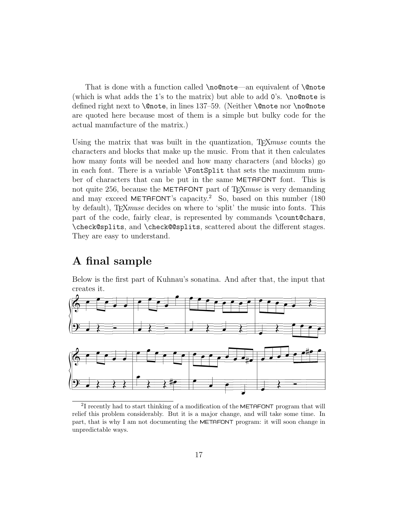That is done with a function called \no@note—an equivalent of \@note (which is what adds the 1's to the matrix) but able to add 0's. \no@note is defined right next to **\@note**, in lines 137–59. (Neither **\@note** nor **\no@note** are quoted here because most of them is a simple but bulky code for the actual manufacture of the matrix.)

Using the matrix that was built in the quantization, T<sub>E</sub>Xmuse counts the characters and blocks that make up the music. From that it then calculates how many fonts will be needed and how many characters (and blocks) go in each font. There is a variable \FontSplit that sets the maximum number of characters that can be put in the same METAFONT font. This is not quite 256, because the METAFONT part of T<sub>F</sub>Xmuse is very demanding and may exceed METAFONT's capacity.<sup>2</sup> So, based on this number  $(180$ by default), T<sub>F</sub>X*muse* decides on where to 'split' the music into fonts. This part of the code, fairly clear, is represented by commands \count@chars, \check@splits, and \check@@splits, scattered about the different stages. They are easy to understand.

# A final sample

Below is the first part of Kuhnau's sonatina. And after that, the input that creates it.



<sup>&</sup>lt;sup>2</sup>I recently had to start thinking of a modification of the METAFONT program that will relief this problem considerably. But it is a major change, and will take some time. In part, that is why I am not documenting the METAFONT program: it will soon change in unpredictable ways.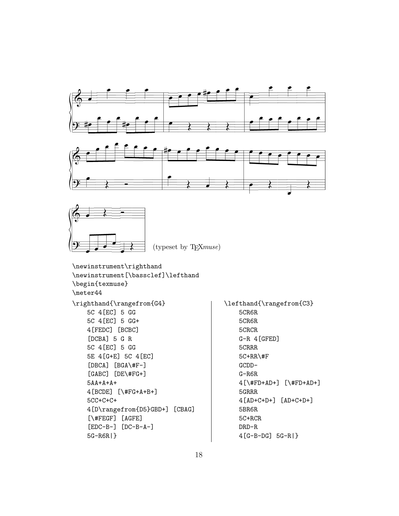





```
\newinstrument\righthand
\newinstrument[\bassclef]\lefthand
\begin{texmuse}
\meter44
\righthand{\rangefrom{G4}
    5C 4[EC] 5 GG
    5C 4[EC] 5 GG+
    4[FEDC] [BCBC]
    [DCBA] 5 G R
    5C 4[EC] 5 GG
    5E 4[G+E] 5C 4[EC]
    [DBCA] [BGA\#F-]
    [GABC] [DE\#FG+]
    5AA+A+A+
    4[BCDE] [\#FG+A+B+]
    5CC+C+C+
    4[D\rangefrom{D5}GBD+] [CBAG]
    [\#FEGF] [AGFE]
    [EDC-B-] [DC-B-A-]
    5G-R6R|}
```

```
\lefthand{\rangefrom{C3}
    5CR6R
    5CR6R
    5CRCR
    G-R 4[GFED]
    5CRRR
    5C+RR\#F
    GCDD-
    G-R6R
    4[\#FD+AD+] [\#FD+AD+]
    5GRRR
    4[AD+C+D+] [AD+C+D+]
    5BR6R
    5C+RCR
    DRD-R
    4[G-B-DG] 5G-R|}
```